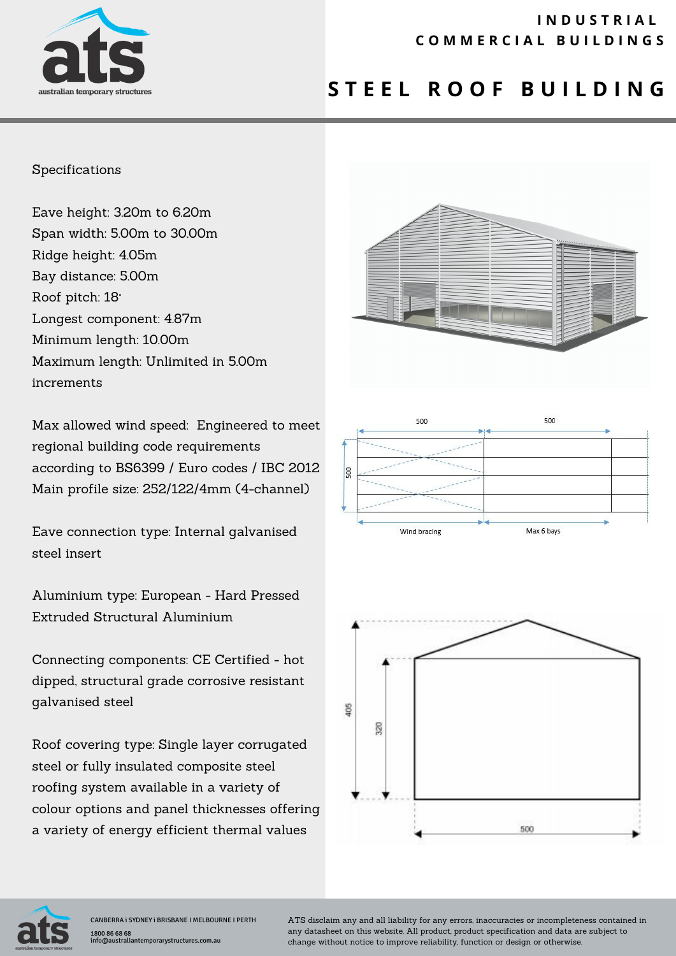

#### **I N D U S T R I A L C O M M E R C I A L B U I L D I N G S**

# **S T E E L R O O F B U I L D I N G**

#### Specifications

Eave height: 3.20m to 6.20m Span width: 5.00m to 30.00m Ridge height: 4.05m Bay distance: 5.00m Roof pitch: 18° Longest component: 4.87m Minimum length: 10.00m Maximum length: Unlimited in 5.00m increments

Max allowed wind speed: Engineered to meet regional building code requirements according to BS6399 / Euro codes / IBC 2012 Main profile size: 252/122/4mm (4-channel)

Eave connection type: Internal galvanised steel insert

Aluminium type: European - Hard Pressed Extruded Structural Aluminium

Connecting components: CE Certified - hot dipped, structural grade corrosive resistant galvanised steel

Roof covering type: Single layer corrugated steel or fully insulated composite steel roofing system available in a variety of colour options and panel thicknesses offering a variety of energy efficient thermal values





500



ATS disclaim any and all liability for any errors, inaccuracies or incompleteness contained in any datasheet on this website. All product, product specification and data are subject to change without notice to improve reliability, function or design or otherwise.